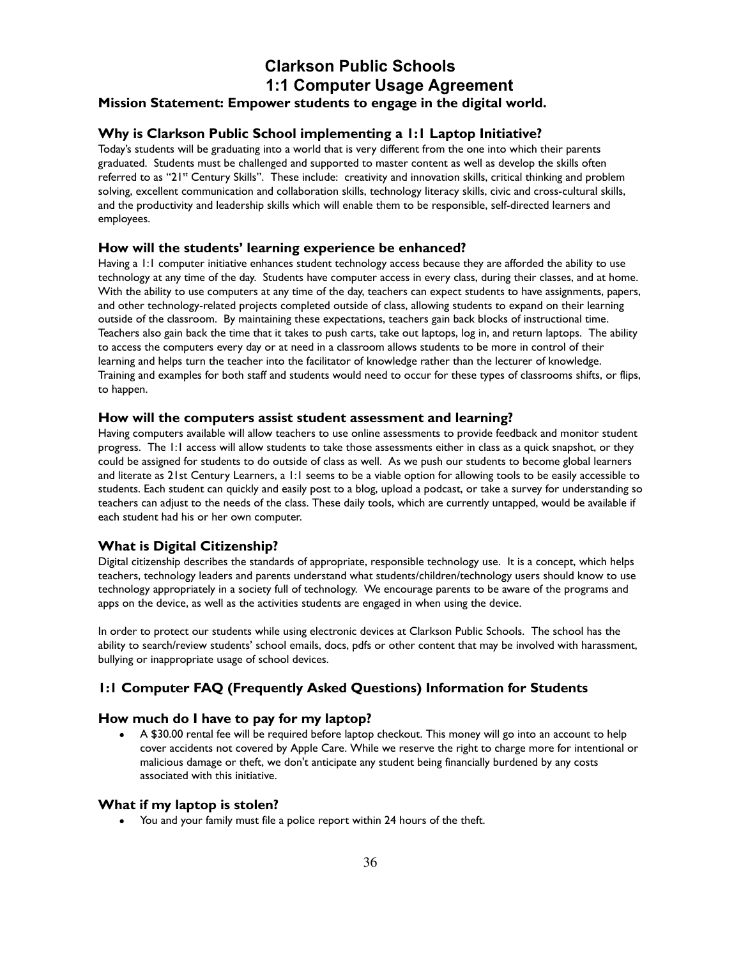# **Clarkson Public Schools 1:1 Computer Usage Agreement Mission Statement: Empower students to engage in the digital world.**

# **Why is Clarkson Public School implementing a 1:1 Laptop Initiative?**

Today's students will be graduating into a world that is very different from the one into which their parents graduated. Students must be challenged and supported to master content as well as develop the skills often referred to as "21st Century Skills". These include: creativity and innovation skills, critical thinking and problem solving, excellent communication and collaboration skills, technology literacy skills, civic and cross-cultural skills, and the productivity and leadership skills which will enable them to be responsible, self-directed learners and employees.

## **How will the students' learning experience be enhanced?**

Having a 1:1 computer initiative enhances student technology access because they are afforded the ability to use technology at any time of the day. Students have computer access in every class, during their classes, and at home. With the ability to use computers at any time of the day, teachers can expect students to have assignments, papers, and other technology-related projects completed outside of class, allowing students to expand on their learning outside of the classroom. By maintaining these expectations, teachers gain back blocks of instructional time. Teachers also gain back the time that it takes to push carts, take out laptops, log in, and return laptops. The ability to access the computers every day or at need in a classroom allows students to be more in control of their learning and helps turn the teacher into the facilitator of knowledge rather than the lecturer of knowledge. Training and examples for both staff and students would need to occur for these types of classrooms shifts, or flips, to happen.

#### **How will the computers assist student assessment and learning?**

Having computers available will allow teachers to use online assessments to provide feedback and monitor student progress. The 1:1 access will allow students to take those assessments either in class as a quick snapshot, or they could be assigned for students to do outside of class as well. As we push our students to become global learners and literate as 21st Century Learners, a 1:1 seems to be a viable option for allowing tools to be easily accessible to students. Each student can quickly and easily post to a blog, upload a podcast, or take a survey for understanding so teachers can adjust to the needs of the class. These daily tools, which are currently untapped, would be available if each student had his or her own computer.

## **What is Digital Citizenship?**

Digital citizenship describes the standards of appropriate, responsible technology use. It is a concept, which helps teachers, technology leaders and parents understand what students/children/technology users should know to use technology appropriately in a society full of technology. We encourage parents to be aware of the programs and apps on the device, as well as the activities students are engaged in when using the device.

In order to protect our students while using electronic devices at Clarkson Public Schools. The school has the ability to search/review students' school emails, docs, pdfs or other content that may be involved with harassment, bullying or inappropriate usage of school devices.

## **1:1 Computer FAQ (Frequently Asked Questions) Information for Students**

#### **How much do I have to pay for my laptop?**

• A \$30.00 rental fee will be required before laptop checkout. This money will go into an account to help cover accidents not covered by Apple Care. While we reserve the right to charge more for intentional or malicious damage or theft, we don't anticipate any student being financially burdened by any costs associated with this initiative.

#### **What if my laptop is stolen?**

● You and your family must file a police report within 24 hours of the theft.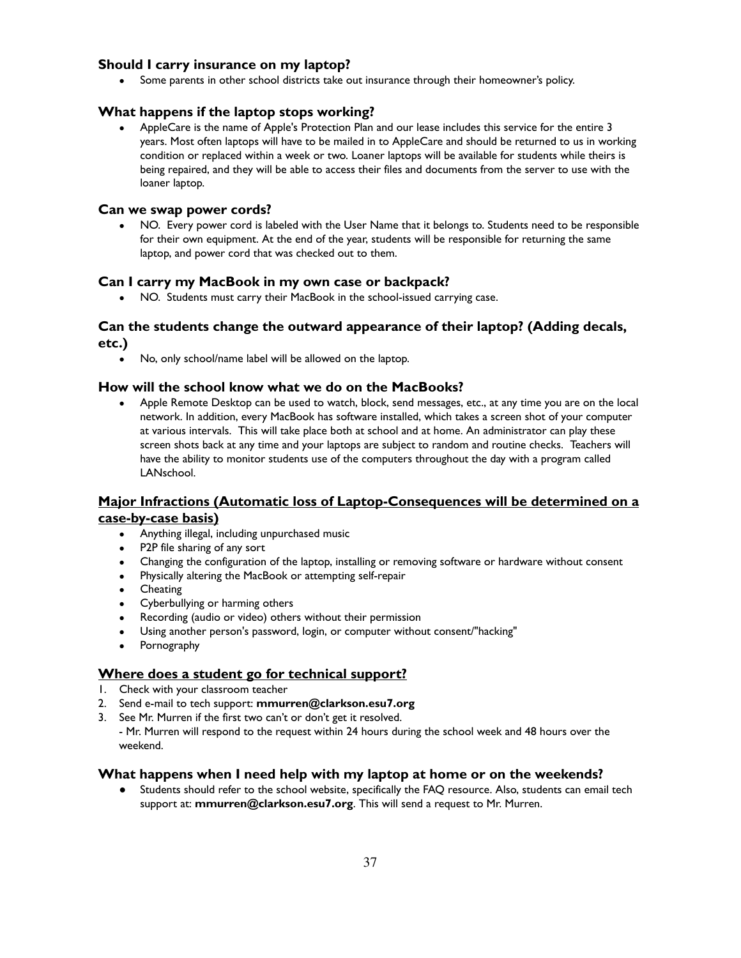# **Should I carry insurance on my laptop?**

• Some parents in other school districts take out insurance through their homeowner's policy.

#### **What happens if the laptop stops working?**

AppleCare is the name of Apple's Protection Plan and our lease includes this service for the entire 3 years. Most often laptops will have to be mailed in to AppleCare and should be returned to us in working condition or replaced within a week or two. Loaner laptops will be available for students while theirs is being repaired, and they will be able to access their files and documents from the server to use with the loaner laptop.

#### **Can we swap power cords?**

NO. Every power cord is labeled with the User Name that it belongs to. Students need to be responsible for their own equipment. At the end of the year, students will be responsible for returning the same laptop, and power cord that was checked out to them.

#### **Can I carry my MacBook in my own case or backpack?**

• NO. Students must carry their MacBook in the school-issued carrying case.

## **Can the students change the outward appearance of their laptop? (Adding decals, etc.)**

• No, only school/name label will be allowed on the laptop.

#### **How will the school know what we do on the MacBooks?**

• Apple Remote Desktop can be used to watch, block, send messages, etc., at any time you are on the local network. In addition, every MacBook has software installed, which takes a screen shot of your computer at various intervals. This will take place both at school and at home. An administrator can play these screen shots back at any time and your laptops are subject to random and routine checks. Teachers will have the ability to monitor students use of the computers throughout the day with a program called LANschool.

# **Major Infractions (Automatic loss of Laptop-Consequences will be determined on a case-by-case basis)**

- Anything illegal, including unpurchased music
- P2P file sharing of any sort
- Changing the configuration of the laptop, installing or removing software or hardware without consent
- Physically altering the MacBook or attempting self-repair
- **Cheating**
- Cyberbullying or harming others
- Recording (audio or video) others without their permission
- Using another person's password, login, or computer without consent/"hacking"
- Pornography

## **Where does a student go for technical support?**

- 1. Check with your classroom teacher
- 2. Send e-mail to tech support: **mmurren@clarkson.esu7.org**
- 3. See Mr. Murren if the first two can't or don't get it resolved.

- Mr. Murren will respond to the request within 24 hours during the school week and 48 hours over the weekend.

#### **What happens when I need help with my laptop at home or on the weekends?**

Students should refer to the school website, specifically the FAQ resource. Also, students can email tech support at: **mmurren@clarkson.esu7.org**. This will send a request to Mr. Murren.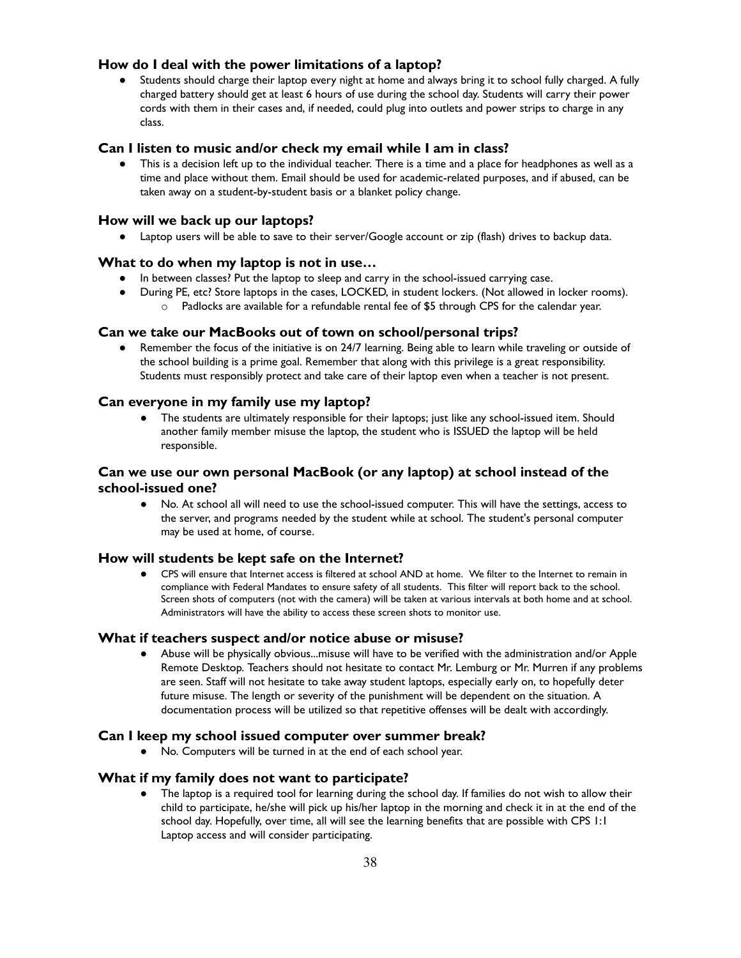#### **How do I deal with the power limitations of a laptop?**

Students should charge their laptop every night at home and always bring it to school fully charged. A fully charged battery should get at least 6 hours of use during the school day. Students will carry their power cords with them in their cases and, if needed, could plug into outlets and power strips to charge in any class.

#### **Can I listen to music and/or check my email while I am in class?**

This is a decision left up to the individual teacher. There is a time and a place for headphones as well as a time and place without them. Email should be used for academic-related purposes, and if abused, can be taken away on a student-by-student basis or a blanket policy change.

#### **How will we back up our laptops?**

● Laptop users will be able to save to their server/Google account or zip (flash) drives to backup data.

#### **What to do when my laptop is not in use…**

- In between classes? Put the laptop to sleep and carry in the school-issued carrying case.
- During PE, etc? Store laptops in the cases, LOCKED, in student lockers. (Not allowed in locker rooms).
	- $\circ$  Padlocks are available for a refundable rental fee of \$5 through CPS for the calendar year.

#### **Can we take our MacBooks out of town on school/personal trips?**

● Remember the focus of the initiative is on 24/7 learning. Being able to learn while traveling or outside of the school building is a prime goal. Remember that along with this privilege is a great responsibility. Students must responsibly protect and take care of their laptop even when a teacher is not present.

#### **Can everyone in my family use my laptop?**

● The students are ultimately responsible for their laptops; just like any school-issued item. Should another family member misuse the laptop, the student who is ISSUED the laptop will be held responsible.

## **Can we use our own personal MacBook (or any laptop) at school instead of the school-issued one?**

● No. At school all will need to use the school-issued computer. This will have the settings, access to the server, and programs needed by the student while at school. The student's personal computer may be used at home, of course.

#### **How will students be kept safe on the Internet?**

● CPS will ensure that Internet access is filtered at school AND at home. We filter to the Internet to remain in compliance with Federal Mandates to ensure safety of all students. This filter will report back to the school. Screen shots of computers (not with the camera) will be taken at various intervals at both home and at school. Administrators will have the ability to access these screen shots to monitor use.

#### **What if teachers suspect and/or notice abuse or misuse?**

● Abuse will be physically obvious...misuse will have to be verified with the administration and/or Apple Remote Desktop. Teachers should not hesitate to contact Mr. Lemburg or Mr. Murren if any problems are seen. Staff will not hesitate to take away student laptops, especially early on, to hopefully deter future misuse. The length or severity of the punishment will be dependent on the situation. A documentation process will be utilized so that repetitive offenses will be dealt with accordingly.

#### **Can I keep my school issued computer over summer break?**

● No. Computers will be turned in at the end of each school year.

#### **What if my family does not want to participate?**

● The laptop is a required tool for learning during the school day. If families do not wish to allow their child to participate, he/she will pick up his/her laptop in the morning and check it in at the end of the school day. Hopefully, over time, all will see the learning benefits that are possible with CPS 1:1 Laptop access and will consider participating.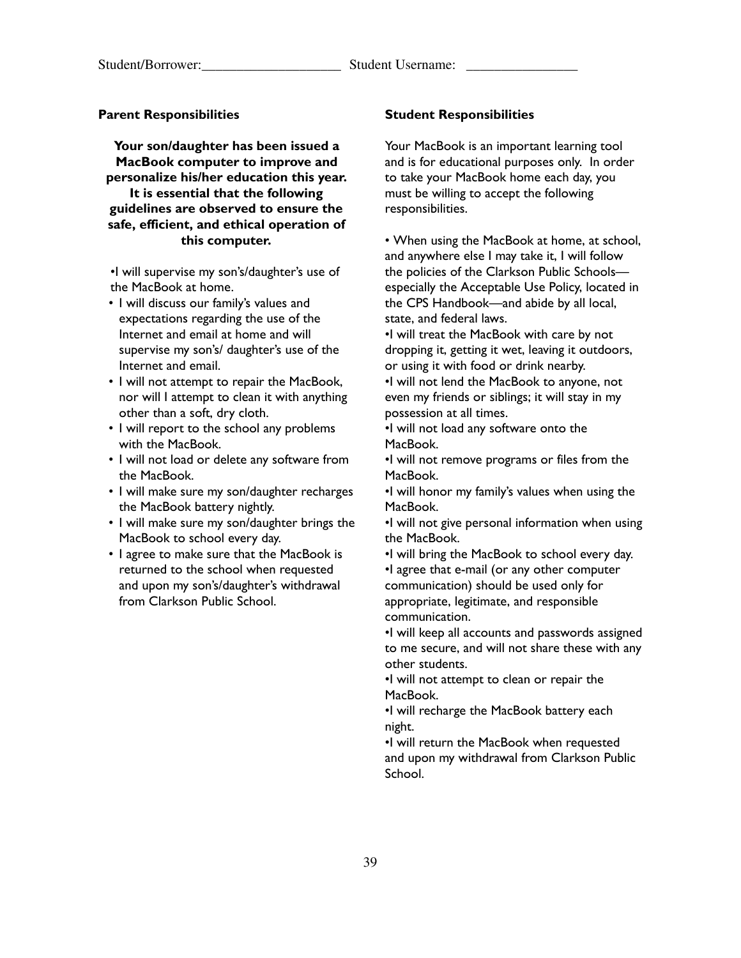#### **Parent Responsibilities**

**Your son/daughter has been issued a MacBook computer to improve and personalize his/her education this year. It is essential that the following guidelines are observed to ensure the safe, efficient, and ethical operation of**

# **this computer.**

•I will supervise my son's/daughter's use of the MacBook at home.

- I will discuss our family's values and expectations regarding the use of the Internet and email at home and will supervise my son's/ daughter's use of the Internet and email.
- I will not attempt to repair the MacBook, nor will I attempt to clean it with anything other than a soft, dry cloth.
- I will report to the school any problems with the MacBook.
- I will not load or delete any software from the MacBook.
- I will make sure my son/daughter recharges the MacBook battery nightly.
- I will make sure my son/daughter brings the MacBook to school every day.
- I agree to make sure that the MacBook is returned to the school when requested and upon my son's/daughter's withdrawal from Clarkson Public School.

#### **Student Responsibilities**

Your MacBook is an important learning tool and is for educational purposes only. In order to take your MacBook home each day, you must be willing to accept the following responsibilities.

• When using the MacBook at home, at school, and anywhere else I may take it, I will follow the policies of the Clarkson Public Schools especially the Acceptable Use Policy, located in the CPS Handbook—and abide by all local, state, and federal laws.

•I will treat the MacBook with care by not dropping it, getting it wet, leaving it outdoors, or using it with food or drink nearby.

•I will not lend the MacBook to anyone, not even my friends or siblings; it will stay in my possession at all times.

•I will not load any software onto the MacBook.

•I will not remove programs or files from the MacBook.

•I will honor my family's values when using the MacBook.

•I will not give personal information when using the MacBook.

•I will bring the MacBook to school every day. •I agree that e-mail (or any other computer communication) should be used only for appropriate, legitimate, and responsible communication.

•I will keep all accounts and passwords assigned to me secure, and will not share these with any other students.

•I will not attempt to clean or repair the MacBook.

•I will recharge the MacBook battery each night.

•I will return the MacBook when requested and upon my withdrawal from Clarkson Public School.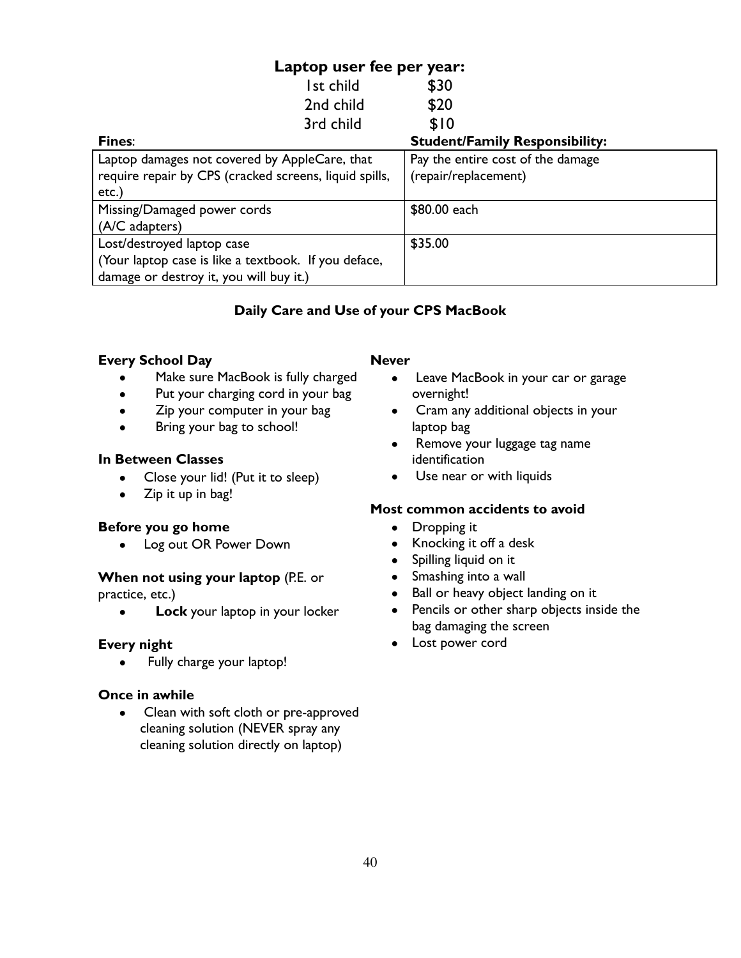# **Laptop user fee per year:**

| Ist child                                              | \$30                                  |  |
|--------------------------------------------------------|---------------------------------------|--|
| 2nd child                                              | \$20                                  |  |
| 3rd child                                              | \$10                                  |  |
| <b>Fines:</b>                                          | <b>Student/Family Responsibility:</b> |  |
| Laptop damages not covered by AppleCare, that          | Pay the entire cost of the damage     |  |
| require repair by CPS (cracked screens, liquid spills, | (repair/replacement)                  |  |
| etc.)                                                  |                                       |  |
| Missing/Damaged power cords                            | \$80.00 each                          |  |
| (A/C adapters)                                         |                                       |  |
| Lost/destroyed laptop case                             | \$35.00                               |  |
| (Your laptop case is like a textbook. If you deface,   |                                       |  |
| damage or destroy it, you will buy it.)                |                                       |  |

# **Daily Care and Use of your CPS MacBook**

## **Every School Day**

- Make sure MacBook is fully charged
- Put your charging cord in your bag
- Zip your computer in your bag
- Bring your bag to school!

## **In Between Classes**

- Close your lid! (Put it to sleep)
- Zip it up in bag!

## **Before you go home**

• Log out OR Power Down

# **When not using your laptop (P.E. or**

practice, etc.)

● **Lock** your laptop in your locker

# **Every night**

• Fully charge your laptop!

# **Once in awhile**

● Clean with soft cloth or pre-approved cleaning solution (NEVER spray any cleaning solution directly on laptop)

#### **Never**

- Leave MacBook in your car or garage overnight!
- Cram any additional objects in your laptop bag
- Remove your luggage tag name identification
- Use near or with liquids

# **Most common accidents to avoid**

- Dropping it
- Knocking it off a desk
- Spilling liquid on it
- Smashing into a wall
- Ball or heavy object landing on it
- Pencils or other sharp objects inside the bag damaging the screen
- Lost power cord